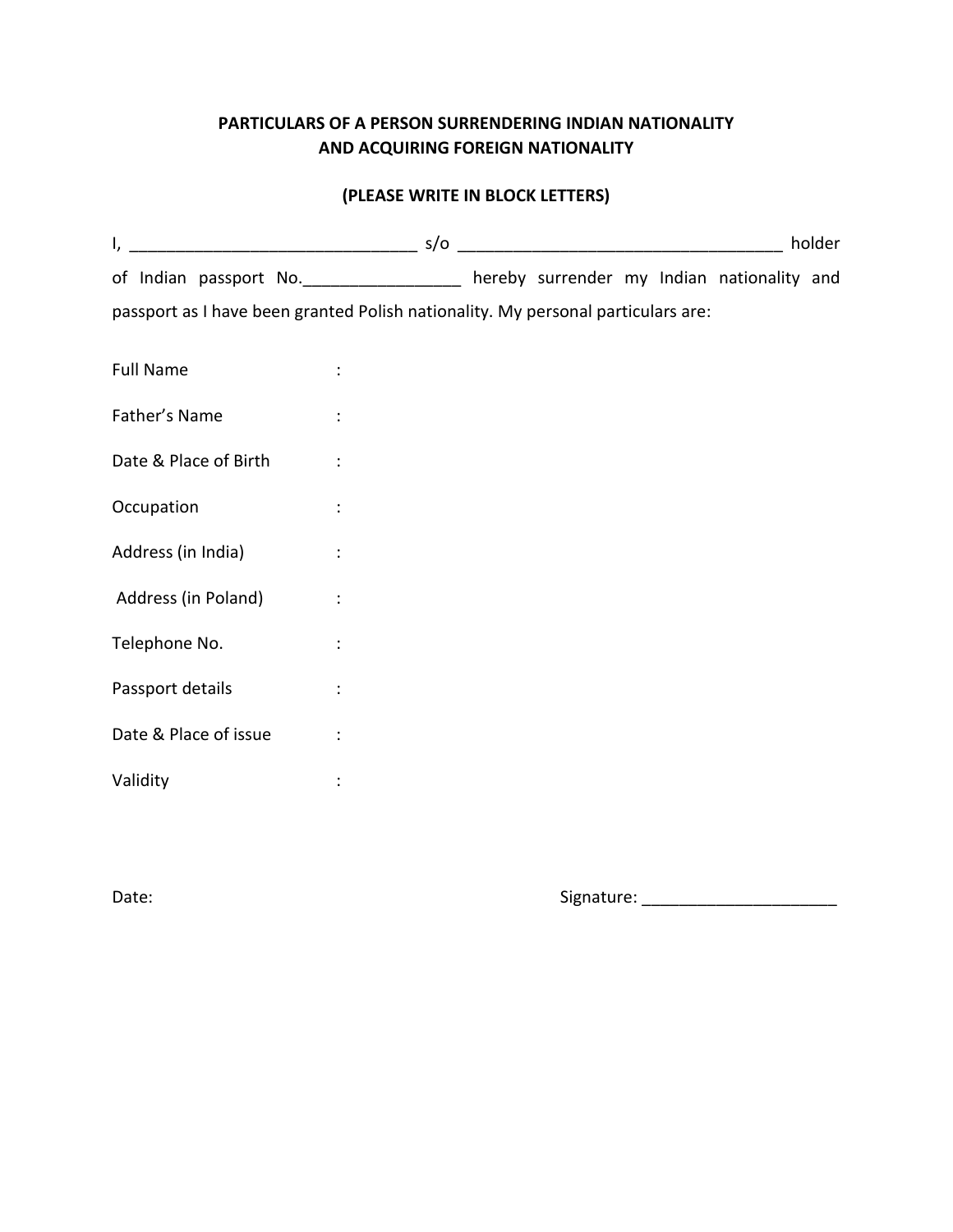## **PARTICULARS OF A PERSON SURRENDERING INDIAN NATIONALITY AND ACQUIRING FOREIGN NATIONALITY**

## **(PLEASE WRITE IN BLOCK LETTERS)**

|                                                                                  |                                                                                    |  |  |  |  |  | holder |
|----------------------------------------------------------------------------------|------------------------------------------------------------------------------------|--|--|--|--|--|--------|
|                                                                                  | of Indian passport No. ________________ hereby surrender my Indian nationality and |  |  |  |  |  |        |
| passport as I have been granted Polish nationality. My personal particulars are: |                                                                                    |  |  |  |  |  |        |
| <b>Full Name</b>                                                                 |                                                                                    |  |  |  |  |  |        |
| Father's Name                                                                    | $\ddot{\phantom{a}}$                                                               |  |  |  |  |  |        |
| Date & Place of Birth                                                            | $\ddot{\cdot}$                                                                     |  |  |  |  |  |        |
| Occupation                                                                       |                                                                                    |  |  |  |  |  |        |
| Address (in India)                                                               |                                                                                    |  |  |  |  |  |        |
| Address (in Poland)                                                              |                                                                                    |  |  |  |  |  |        |
| Telephone No.                                                                    | $\ddot{\cdot}$                                                                     |  |  |  |  |  |        |
| Passport details                                                                 |                                                                                    |  |  |  |  |  |        |
| Date & Place of issue                                                            |                                                                                    |  |  |  |  |  |        |
| Validity                                                                         |                                                                                    |  |  |  |  |  |        |

Date: Signature: \_\_\_\_\_\_\_\_\_\_\_\_\_\_\_\_\_\_\_\_\_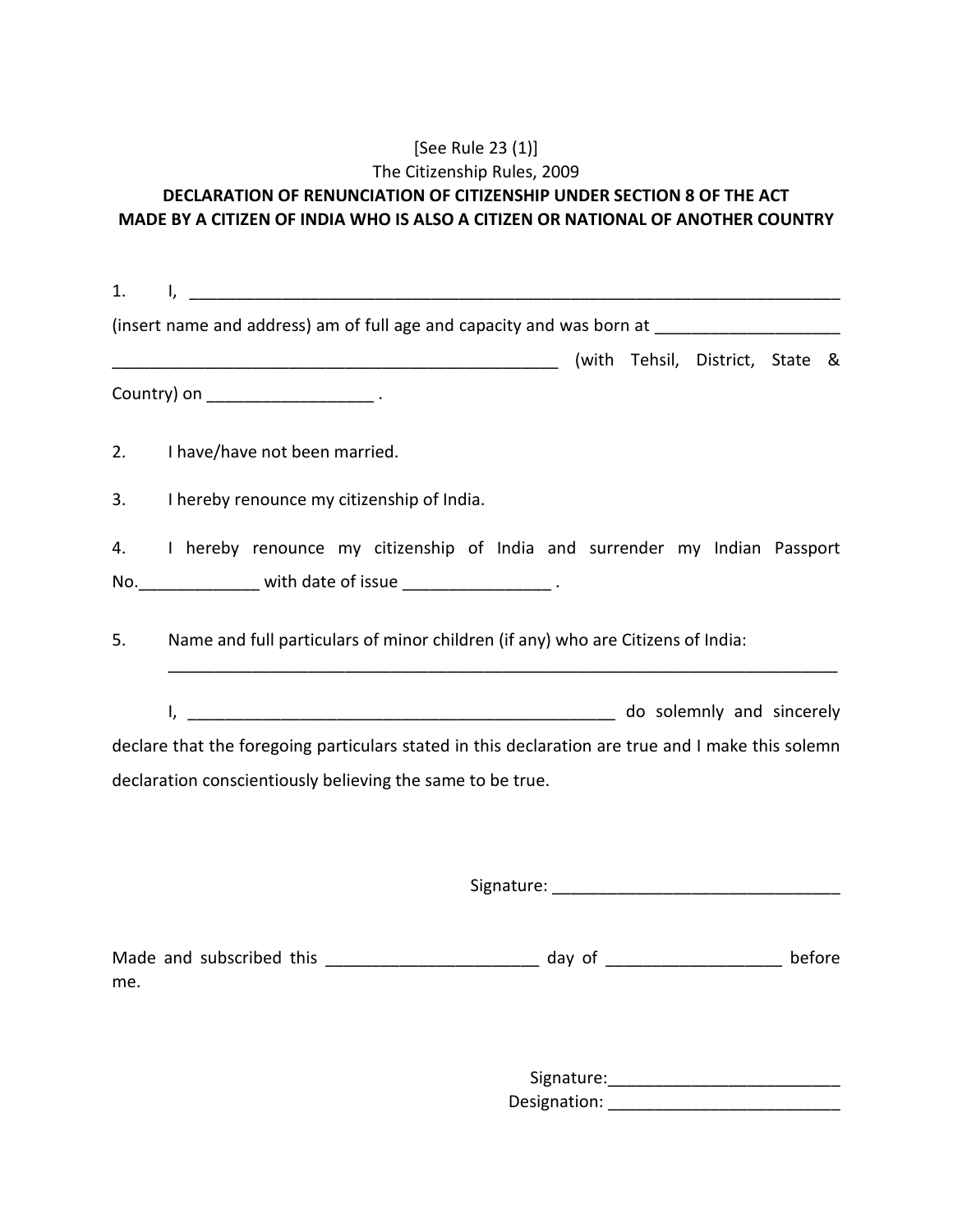## [See Rule 23 (1)] The Citizenship Rules, 2009 **DECLARATION OF RENUNCIATION OF CITIZENSHIP UNDER SECTION 8 OF THE ACT MADE BY A CITIZEN OF INDIA WHO IS ALSO A CITIZEN OR NATIONAL OF ANOTHER COUNTRY**

| 1.  |                                                                                                                                             |  |  |  |  |
|-----|---------------------------------------------------------------------------------------------------------------------------------------------|--|--|--|--|
|     | (insert name and address) am of full age and capacity and was born at _________________                                                     |  |  |  |  |
|     |                                                                                                                                             |  |  |  |  |
|     |                                                                                                                                             |  |  |  |  |
| 2.  | I have/have not been married.                                                                                                               |  |  |  |  |
| 3.  | I hereby renounce my citizenship of India.                                                                                                  |  |  |  |  |
| 4.  | I hereby renounce my citizenship of India and surrender my Indian Passport<br>No. _________________ with date of issue ___________________. |  |  |  |  |
|     |                                                                                                                                             |  |  |  |  |
| 5.  | Name and full particulars of minor children (if any) who are Citizens of India:                                                             |  |  |  |  |
|     | do solemnly and sincerely<br>I,                                                                                                             |  |  |  |  |
|     | declare that the foregoing particulars stated in this declaration are true and I make this solemn                                           |  |  |  |  |
|     | declaration conscientiously believing the same to be true.                                                                                  |  |  |  |  |
|     |                                                                                                                                             |  |  |  |  |
|     |                                                                                                                                             |  |  |  |  |
| me. | before                                                                                                                                      |  |  |  |  |
|     | Signature:                                                                                                                                  |  |  |  |  |

Designation: \_\_\_\_\_\_\_\_\_\_\_\_\_\_\_\_\_\_\_\_\_\_\_\_\_